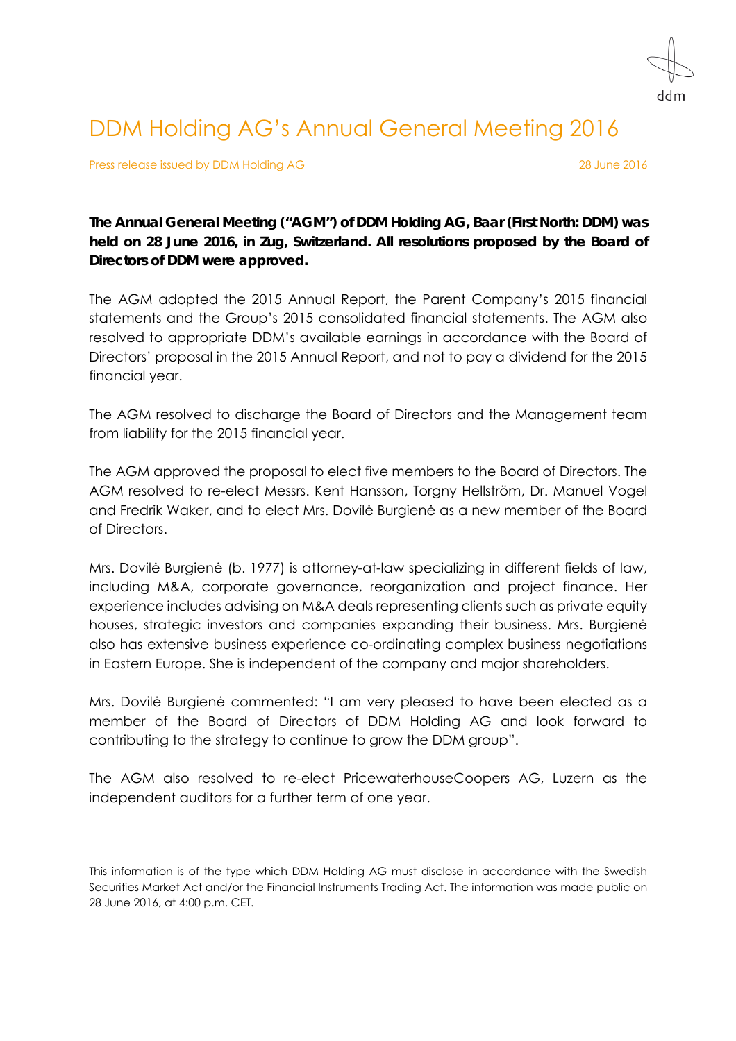

## DDM Holding AG's Annual General Meeting 2016

Press release issued by DDM Holding AG 28 June 2016

**The Annual General Meeting ("AGM") of DDM Holding AG, Baar (First North: DDM) was held on 28 June 2016, in Zug, Switzerland. All resolutions proposed by the Board of Directors of DDM were approved.** 

The AGM adopted the 2015 Annual Report, the Parent Company's 2015 financial statements and the Group's 2015 consolidated financial statements. The AGM also resolved to appropriate DDM's available earnings in accordance with the Board of Directors' proposal in the 2015 Annual Report, and not to pay a dividend for the 2015 financial year.

The AGM resolved to discharge the Board of Directors and the Management team from liability for the 2015 financial year.

The AGM approved the proposal to elect five members to the Board of Directors. The AGM resolved to re-elect Messrs. Kent Hansson, Torgny Hellström, Dr. Manuel Vogel and Fredrik Waker, and to elect Mrs. Dovilė Burgienė as a new member of the Board of Directors.

Mrs. Dovilė Burgienė (b. 1977) is attorney-at-law specializing in different fields of law, including M&A, corporate governance, reorganization and project finance. Her experience includes advising on M&A deals representing clients such as private equity houses, strategic investors and companies expanding their business. Mrs. Burgienė also has extensive business experience co-ordinating complex business negotiations in Eastern Europe. She is independent of the company and major shareholders.

Mrs. Dovilė Burgienė commented: "I am very pleased to have been elected as a member of the Board of Directors of DDM Holding AG and look forward to contributing to the strategy to continue to grow the DDM group".

The AGM also resolved to re-elect PricewaterhouseCoopers AG, Luzern as the independent auditors for a further term of one year.

This information is of the type which DDM Holding AG must disclose in accordance with the Swedish Securities Market Act and/or the Financial Instruments Trading Act. The information was made public on 28 June 2016, at 4:00 p.m. CET.